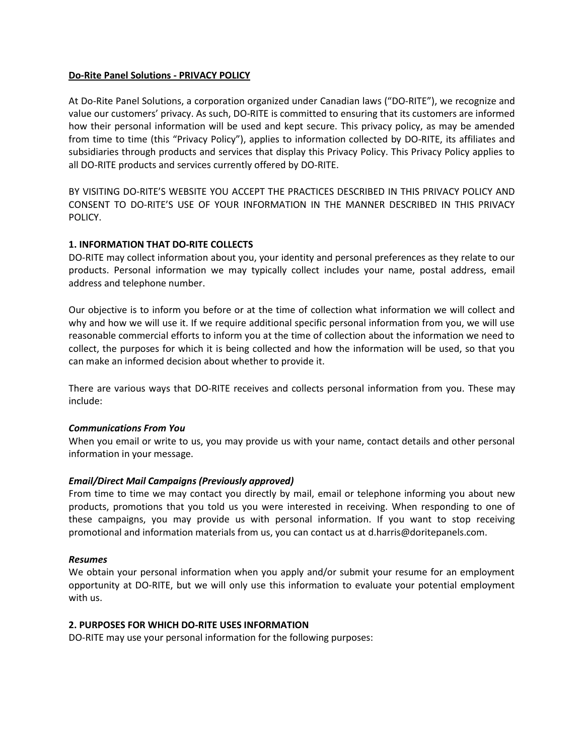# **Do-Rite Panel Solutions - PRIVACY POLICY**

At Do-Rite Panel Solutions, a corporation organized under Canadian laws ("DO-RITE"), we recognize and value our customers' privacy. As such, DO-RITE is committed to ensuring that its customers are informed how their personal information will be used and kept secure. This privacy policy, as may be amended from time to time (this "Privacy Policy"), applies to information collected by DO-RITE, its affiliates and subsidiaries through products and services that display this Privacy Policy. This Privacy Policy applies to all DO-RITE products and services currently offered by DO-RITE.

BY VISITING DO-RITE'S WEBSITE YOU ACCEPT THE PRACTICES DESCRIBED IN THIS PRIVACY POLICY AND CONSENT TO DO-RITE'S USE OF YOUR INFORMATION IN THE MANNER DESCRIBED IN THIS PRIVACY POLICY.

# **1. INFORMATION THAT DO-RITE COLLECTS**

DO-RITE may collect information about you, your identity and personal preferences as they relate to our products. Personal information we may typically collect includes your name, postal address, email address and telephone number.

Our objective is to inform you before or at the time of collection what information we will collect and why and how we will use it. If we require additional specific personal information from you, we will use reasonable commercial efforts to inform you at the time of collection about the information we need to collect, the purposes for which it is being collected and how the information will be used, so that you can make an informed decision about whether to provide it.

There are various ways that DO-RITE receives and collects personal information from you. These may include:

### *Communications From You*

When you email or write to us, you may provide us with your name, contact details and other personal information in your message.

### *Email/Direct Mail Campaigns (Previously approved)*

From time to time we may contact you directly by mail, email or telephone informing you about new products, promotions that you told us you were interested in receiving. When responding to one of these campaigns, you may provide us with personal information. If you want to stop receiving promotional and information materials from us, you can contact us at d.harris@doritepanels.com.

### *Resumes*

We obtain your personal information when you apply and/or submit your resume for an employment opportunity at DO-RITE, but we will only use this information to evaluate your potential employment with us.

### **2. PURPOSES FOR WHICH DO-RITE USES INFORMATION**

DO-RITE may use your personal information for the following purposes: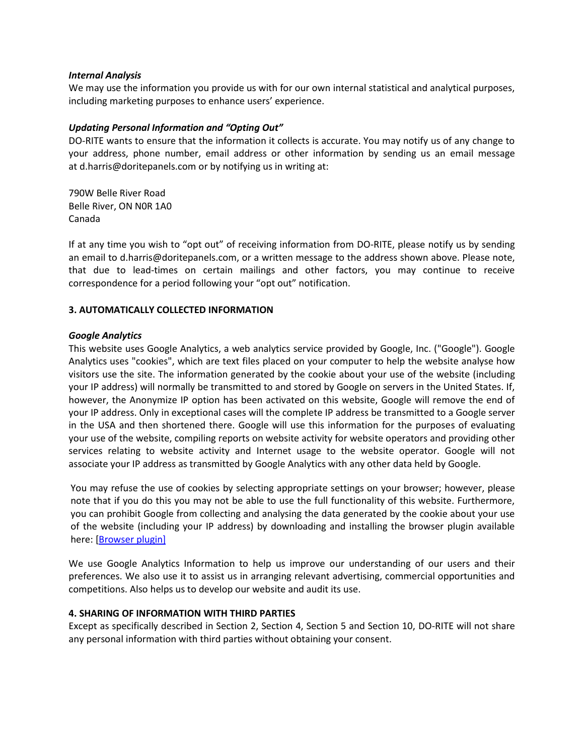### *Internal Analysis*

We may use the information you provide us with for our own internal statistical and analytical purposes, including marketing purposes to enhance users' experience.

# *Updating Personal Information and "Opting Out"*

DO-RITE wants to ensure that the information it collects is accurate. You may notify us of any change to your address, phone number, email address or other information by sending us an email message at d.harris@doritepanels.com or by notifying us in writing at:

790W Belle River Road Belle River, ON N0R 1A0 Canada

If at any time you wish to "opt out" of receiving information from DO-RITE, please notify us by sending an email to d.harris@doritepanels.com, or a written message to the address shown above. Please note, that due to lead-times on certain mailings and other factors, you may continue to receive correspondence for a period following your "opt out" notification.

# **3. AUTOMATICALLY COLLECTED INFORMATION**

## *Google Analytics*

This website uses Google Analytics, a web analytics service provided by Google, Inc. ("Google"). Google Analytics uses "cookies", which are text files placed on your computer to help the website analyse how visitors use the site. The information generated by the cookie about your use of the website (including your IP address) will normally be transmitted to and stored by Google on servers in the United States. If, however, the Anonymize IP option has been activated on this website, Google will remove the end of your IP address. Only in exceptional cases will the complete IP address be transmitted to a Google server in the USA and then shortened there. Google will use this information for the purposes of evaluating your use of the website, compiling reports on website activity for website operators and providing other services relating to website activity and Internet usage to the website operator. Google will not associate your IP address as transmitted by Google Analytics with any other data held by Google.

You may refuse the use of cookies by selecting appropriate settings on your browser; however, please note that if you do this you may not be able to use the full functionality of this website. Furthermore, you can prohibit Google from collecting and analysing the data generated by the cookie about your use of the website (including your IP address) by downloading and installing the browser plugin available here: [\[Browser plugin\]](https://tools.google.com/dlpage/gaoptout?hl=en)

We use Google Analytics Information to help us improve our understanding of our users and their preferences. We also use it to assist us in arranging relevant advertising, commercial opportunities and competitions. Also helps us to develop our website and audit its use.

# **4. SHARING OF INFORMATION WITH THIRD PARTIES**

Except as specifically described in Section 2, Section 4, Section 5 and Section 10, DO-RITE will not share any personal information with third parties without obtaining your consent.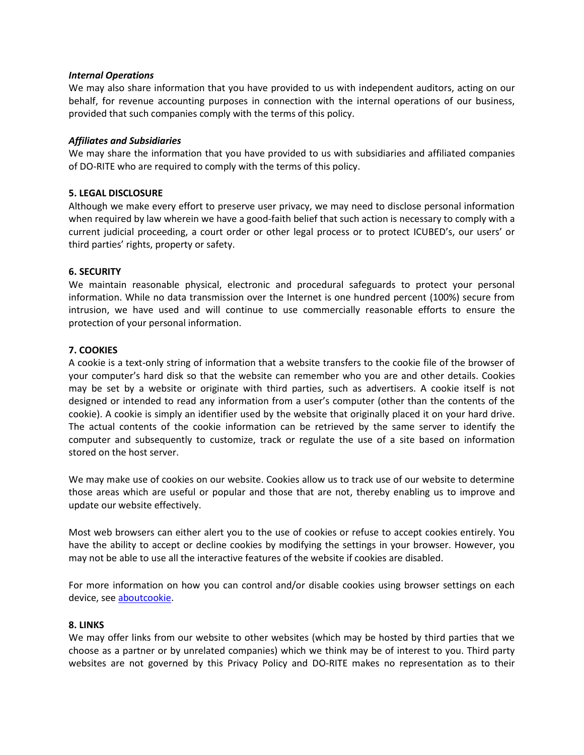## *Internal Operations*

We may also share information that you have provided to us with independent auditors, acting on our behalf, for revenue accounting purposes in connection with the internal operations of our business, provided that such companies comply with the terms of this policy.

# *Affiliates and Subsidiaries*

We may share the information that you have provided to us with subsidiaries and affiliated companies of DO-RITE who are required to comply with the terms of this policy.

# **5. LEGAL DISCLOSURE**

Although we make every effort to preserve user privacy, we may need to disclose personal information when required by law wherein we have a good-faith belief that such action is necessary to comply with a current judicial proceeding, a court order or other legal process or to protect ICUBED's, our users' or third parties' rights, property or safety.

## **6. SECURITY**

We maintain reasonable physical, electronic and procedural safeguards to protect your personal information. While no data transmission over the Internet is one hundred percent (100%) secure from intrusion, we have used and will continue to use commercially reasonable efforts to ensure the protection of your personal information.

## **7. COOKIES**

A cookie is a text-only string of information that a website transfers to the cookie file of the browser of your computer's hard disk so that the website can remember who you are and other details. Cookies may be set by a website or originate with third parties, such as advertisers. A cookie itself is not designed or intended to read any information from a user's computer (other than the contents of the cookie). A cookie is simply an identifier used by the website that originally placed it on your hard drive. The actual contents of the cookie information can be retrieved by the same server to identify the computer and subsequently to customize, track or regulate the use of a site based on information stored on the host server.

We may make use of cookies on our website. Cookies allow us to track use of our website to determine those areas which are useful or popular and those that are not, thereby enabling us to improve and update our website effectively.

Most web browsers can either alert you to the use of cookies or refuse to accept cookies entirely. You have the ability to accept or decline cookies by modifying the settings in your browser. However, you may not be able to use all the interactive features of the website if cookies are disabled.

For more information on how you can control and/or disable cookies using browser settings on each device, see [aboutcookie.](https://www.aboutcookies.org/)

### **8. LINKS**

We may offer links from our website to other websites (which may be hosted by third parties that we choose as a partner or by unrelated companies) which we think may be of interest to you. Third party websites are not governed by this Privacy Policy and DO-RITE makes no representation as to their